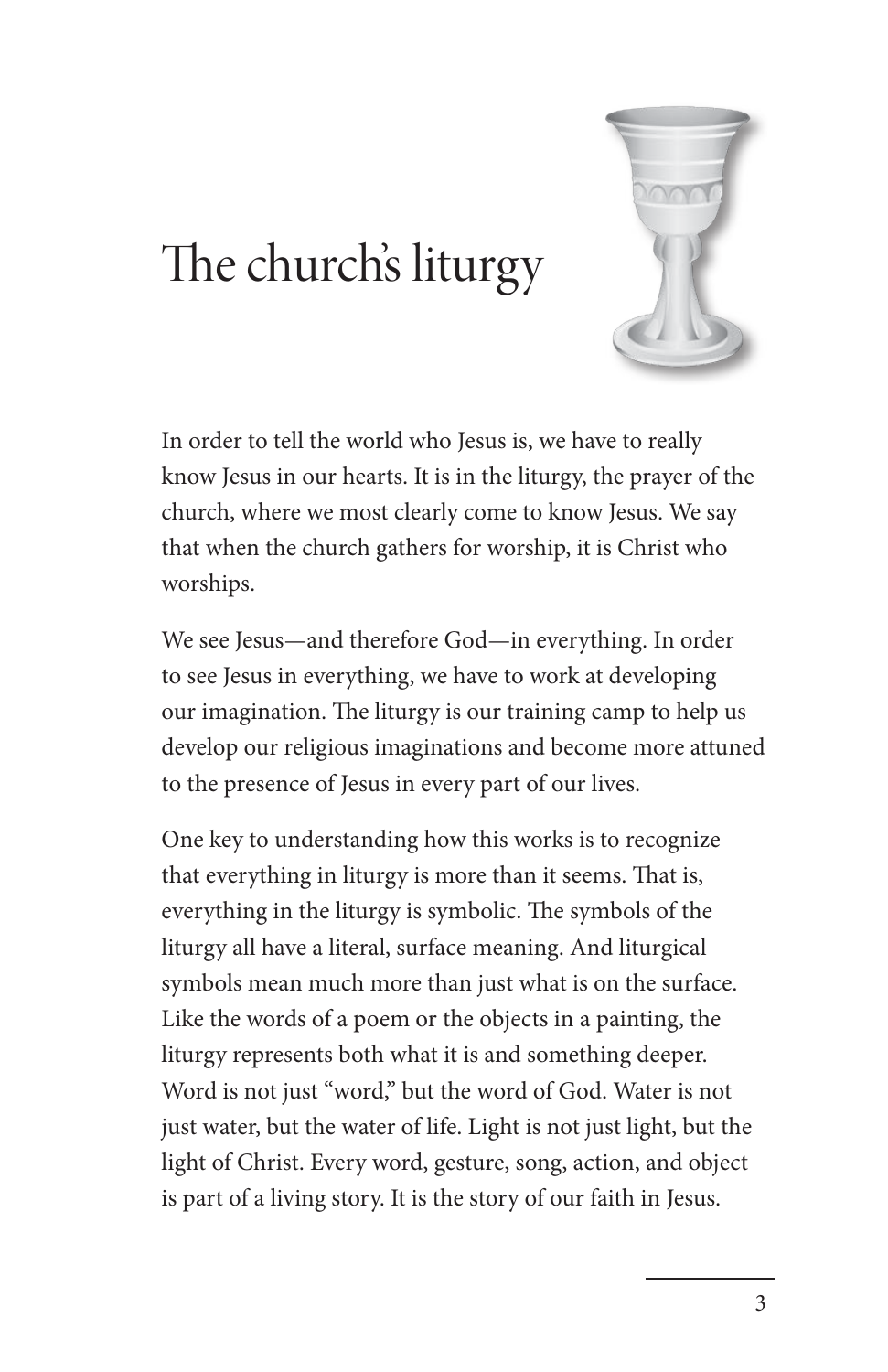

## The church's liturgy

In order to tell the world who Jesus is, we have to really know Jesus in our hearts. It is in the liturgy, the prayer of the church, where we most clearly come to know Jesus. We say that when the church gathers for worship, it is Christ who worships.

We see Jesus—and therefore God—in everything. In order to see Jesus in everything, we have to work at developing our imagination. The liturgy is our training camp to help us develop our religious imaginations and become more attuned to the presence of Jesus in every part of our lives.

One key to understanding how this works is to recognize that everything in liturgy is more than it seems. That is, everything in the liturgy is symbolic. The symbols of the liturgy all have a literal, surface meaning. And liturgical symbols mean much more than just what is on the surface. Like the words of a poem or the objects in a painting, the liturgy represents both what it is and something deeper. Word is not just "word," but the word of God. Water is not just water, but the water of life. Light is not just light, but the light of Christ. Every word, gesture, song, action, and object is part of a living story. It is the story of our faith in Jesus.